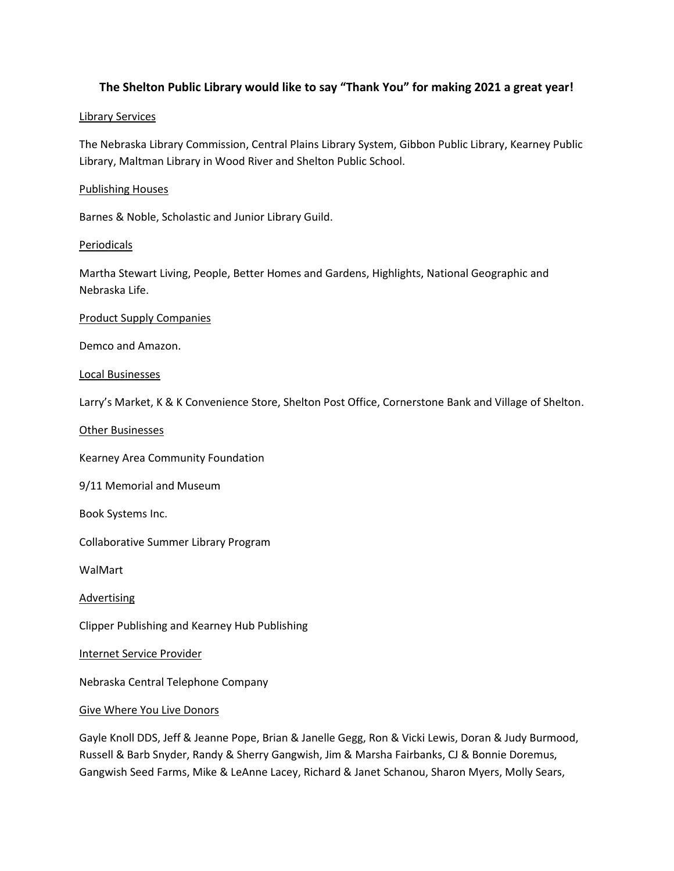# **The Shelton Public Library would like to say "Thank You" for making 2021 a great year!**

## Library Services

The Nebraska Library Commission, Central Plains Library System, Gibbon Public Library, Kearney Public Library, Maltman Library in Wood River and Shelton Public School.

## Publishing Houses

Barnes & Noble, Scholastic and Junior Library Guild.

## **Periodicals**

Martha Stewart Living, People, Better Homes and Gardens, Highlights, National Geographic and Nebraska Life.

#### Product Supply Companies

Demco and Amazon.

## Local Businesses

Larry's Market, K & K Convenience Store, Shelton Post Office, Cornerstone Bank and Village of Shelton.

## Other Businesses

Kearney Area Community Foundation

9/11 Memorial and Museum

Book Systems Inc.

Collaborative Summer Library Program

WalMart

**Advertising** 

Clipper Publishing and Kearney Hub Publishing

Internet Service Provider

Nebraska Central Telephone Company

#### Give Where You Live Donors

Gayle Knoll DDS, Jeff & Jeanne Pope, Brian & Janelle Gegg, Ron & Vicki Lewis, Doran & Judy Burmood, Russell & Barb Snyder, Randy & Sherry Gangwish, Jim & Marsha Fairbanks, CJ & Bonnie Doremus, Gangwish Seed Farms, Mike & LeAnne Lacey, Richard & Janet Schanou, Sharon Myers, Molly Sears,